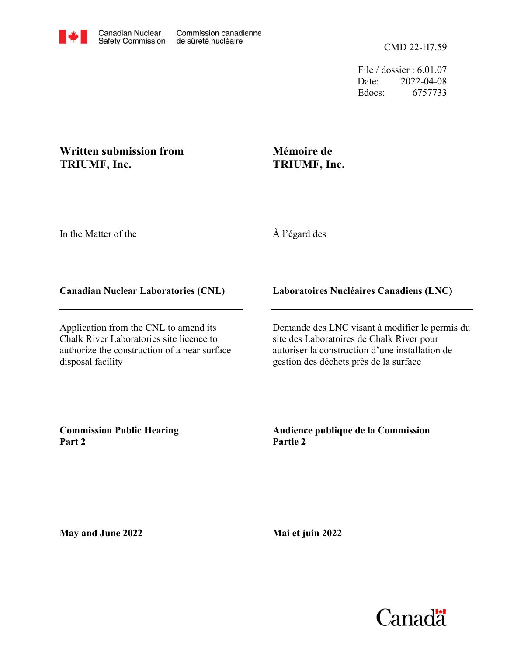File / dossier : 6.01.07 Date: 2022-04-08 Edocs: 6757733

## **Written submission from TRIUMF, Inc.**

## **Mémoire de TRIUMF, Inc.**

In the Matter of the

À l'égard des

## **Canadian Nuclear Laboratories (CNL)**

Application from the CNL to amend its Chalk River Laboratories site licence to authorize the construction of a near surface disposal facility

**Laboratoires Nucléaires Canadiens (LNC)**

Demande des LNC visant à modifier le permis du site des Laboratoires de Chalk River pour autoriser la construction d'une installation de gestion des déchets près de la surface

**Commission Public Hearing Part 2**

**Audience publique de la Commission Partie 2**

**May and June 2022**

**Mai et juin 2022**